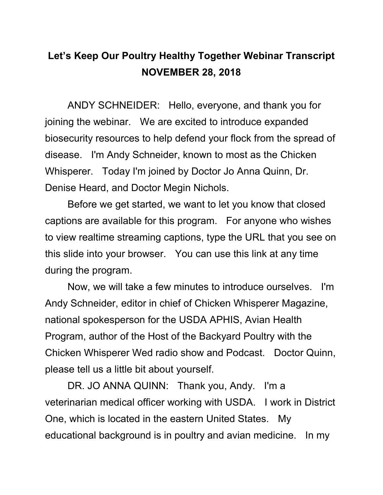## **Let's Keep Our Poultry Healthy Together Webinar Transcript NOVEMBER 28, 2018**

ANDY SCHNEIDER: Hello, everyone, and thank you for joining the webinar. We are excited to introduce expanded biosecurity resources to help defend your flock from the spread of disease. I'm Andy Schneider, known to most as the Chicken Whisperer. Today I'm joined by Doctor Jo Anna Quinn, Dr. Denise Heard, and Doctor Megin Nichols.

Before we get started, we want to let you know that closed captions are available for this program. For anyone who wishes to view realtime streaming captions, type the URL that you see on this slide into your browser. You can use this link at any time during the program.

Now, we will take a few minutes to introduce ourselves. I'm Andy Schneider, editor in chief of Chicken Whisperer Magazine, national spokesperson for the USDA APHIS, Avian Health Program, author of the Host of the Backyard Poultry with the Chicken Whisperer Wed radio show and Podcast. Doctor Quinn, please tell us a little bit about yourself.

DR. JO ANNA QUINN: Thank you, Andy. I'm a veterinarian medical officer working with USDA. I work in District One, which is located in the eastern United States. My educational background is in poultry and avian medicine. In my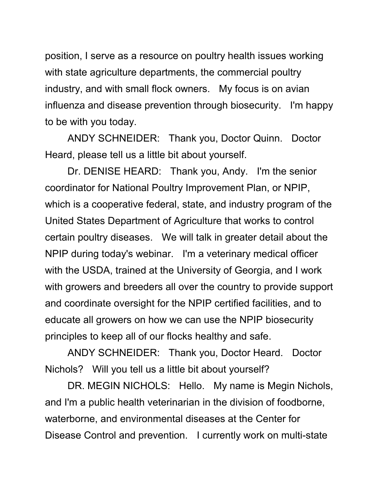position, I serve as a resource on poultry health issues working with state agriculture departments, the commercial poultry industry, and with small flock owners. My focus is on avian influenza and disease prevention through biosecurity. I'm happy to be with you today.

ANDY SCHNEIDER: Thank you, Doctor Quinn. Doctor Heard, please tell us a little bit about yourself.

Dr. DENISE HEARD: Thank you, Andy. I'm the senior coordinator for National Poultry Improvement Plan, or NPIP, which is a cooperative federal, state, and industry program of the United States Department of Agriculture that works to control certain poultry diseases. We will talk in greater detail about the NPIP during today's webinar. I'm a veterinary medical officer with the USDA, trained at the University of Georgia, and I work with growers and breeders all over the country to provide support and coordinate oversight for the NPIP certified facilities, and to educate all growers on how we can use the NPIP biosecurity principles to keep all of our flocks healthy and safe.

ANDY SCHNEIDER: Thank you, Doctor Heard. Doctor Nichols? Will you tell us a little bit about yourself?

DR. MEGIN NICHOLS: Hello. My name is Megin Nichols, and I'm a public health veterinarian in the division of foodborne, waterborne, and environmental diseases at the Center for Disease Control and prevention. I currently work on multi-state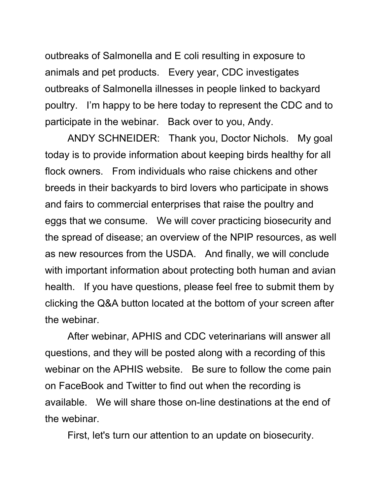outbreaks of Salmonella and E coli resulting in exposure to animals and pet products. Every year, CDC investigates outbreaks of Salmonella illnesses in people linked to backyard poultry. I'm happy to be here today to represent the CDC and to participate in the webinar. Back over to you, Andy.

ANDY SCHNEIDER: Thank you, Doctor Nichols. My goal today is to provide information about keeping birds healthy for all flock owners. From individuals who raise chickens and other breeds in their backyards to bird lovers who participate in shows and fairs to commercial enterprises that raise the poultry and eggs that we consume. We will cover practicing biosecurity and the spread of disease; an overview of the NPIP resources, as well as new resources from the USDA. And finally, we will conclude with important information about protecting both human and avian health. If you have questions, please feel free to submit them by clicking the Q&A button located at the bottom of your screen after the webinar.

After webinar, APHIS and CDC veterinarians will answer all questions, and they will be posted along with a recording of this webinar on the APHIS website. Be sure to follow the come pain on FaceBook and Twitter to find out when the recording is available. We will share those on-line destinations at the end of the webinar.

First, let's turn our attention to an update on biosecurity.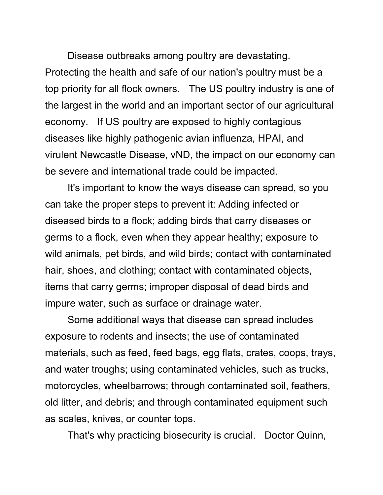Disease outbreaks among poultry are devastating. Protecting the health and safe of our nation's poultry must be a top priority for all flock owners. The US poultry industry is one of the largest in the world and an important sector of our agricultural economy. If US poultry are exposed to highly contagious diseases like highly pathogenic avian influenza, HPAI, and virulent Newcastle Disease, vND, the impact on our economy can be severe and international trade could be impacted.

It's important to know the ways disease can spread, so you can take the proper steps to prevent it: Adding infected or diseased birds to a flock; adding birds that carry diseases or germs to a flock, even when they appear healthy; exposure to wild animals, pet birds, and wild birds; contact with contaminated hair, shoes, and clothing; contact with contaminated objects, items that carry germs; improper disposal of dead birds and impure water, such as surface or drainage water.

Some additional ways that disease can spread includes exposure to rodents and insects; the use of contaminated materials, such as feed, feed bags, egg flats, crates, coops, trays, and water troughs; using contaminated vehicles, such as trucks, motorcycles, wheelbarrows; through contaminated soil, feathers, old litter, and debris; and through contaminated equipment such as scales, knives, or counter tops.

That's why practicing biosecurity is crucial. Doctor Quinn,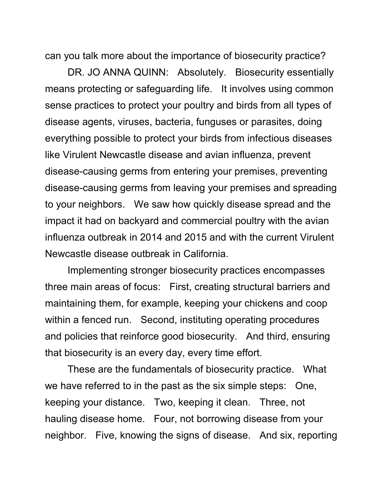can you talk more about the importance of biosecurity practice?

DR. JO ANNA QUINN: Absolutely. Biosecurity essentially means protecting or safeguarding life. It involves using common sense practices to protect your poultry and birds from all types of disease agents, viruses, bacteria, funguses or parasites, doing everything possible to protect your birds from infectious diseases like Virulent Newcastle disease and avian influenza, prevent disease-causing germs from entering your premises, preventing disease-causing germs from leaving your premises and spreading to your neighbors. We saw how quickly disease spread and the impact it had on backyard and commercial poultry with the avian influenza outbreak in 2014 and 2015 and with the current Virulent Newcastle disease outbreak in California.

Implementing stronger biosecurity practices encompasses three main areas of focus: First, creating structural barriers and maintaining them, for example, keeping your chickens and coop within a fenced run. Second, instituting operating procedures and policies that reinforce good biosecurity. And third, ensuring that biosecurity is an every day, every time effort.

These are the fundamentals of biosecurity practice. What we have referred to in the past as the six simple steps: One, keeping your distance. Two, keeping it clean. Three, not hauling disease home. Four, not borrowing disease from your neighbor. Five, knowing the signs of disease. And six, reporting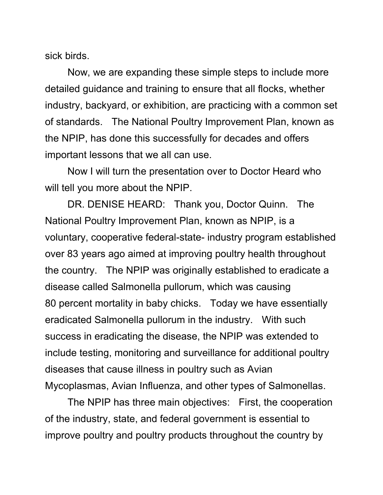sick birds.

Now, we are expanding these simple steps to include more detailed guidance and training to ensure that all flocks, whether industry, backyard, or exhibition, are practicing with a common set of standards. The National Poultry Improvement Plan, known as the NPIP, has done this successfully for decades and offers important lessons that we all can use.

Now I will turn the presentation over to Doctor Heard who will tell you more about the NPIP.

DR. DENISE HEARD: Thank you, Doctor Quinn. The National Poultry Improvement Plan, known as NPIP, is a voluntary, cooperative federal-state- industry program established over 83 years ago aimed at improving poultry health throughout the country. The NPIP was originally established to eradicate a disease called Salmonella pullorum, which was causing 80 percent mortality in baby chicks. Today we have essentially eradicated Salmonella pullorum in the industry. With such success in eradicating the disease, the NPIP was extended to include testing, monitoring and surveillance for additional poultry diseases that cause illness in poultry such as Avian Mycoplasmas, Avian Influenza, and other types of Salmonellas.

The NPIP has three main objectives: First, the cooperation of the industry, state, and federal government is essential to improve poultry and poultry products throughout the country by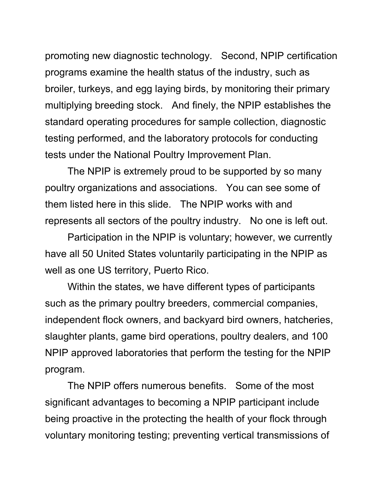promoting new diagnostic technology. Second, NPIP certification programs examine the health status of the industry, such as broiler, turkeys, and egg laying birds, by monitoring their primary multiplying breeding stock. And finely, the NPIP establishes the standard operating procedures for sample collection, diagnostic testing performed, and the laboratory protocols for conducting tests under the National Poultry Improvement Plan.

The NPIP is extremely proud to be supported by so many poultry organizations and associations. You can see some of them listed here in this slide. The NPIP works with and represents all sectors of the poultry industry. No one is left out.

Participation in the NPIP is voluntary; however, we currently have all 50 United States voluntarily participating in the NPIP as well as one US territory, Puerto Rico.

Within the states, we have different types of participants such as the primary poultry breeders, commercial companies, independent flock owners, and backyard bird owners, hatcheries, slaughter plants, game bird operations, poultry dealers, and 100 NPIP approved laboratories that perform the testing for the NPIP program.

The NPIP offers numerous benefits. Some of the most significant advantages to becoming a NPIP participant include being proactive in the protecting the health of your flock through voluntary monitoring testing; preventing vertical transmissions of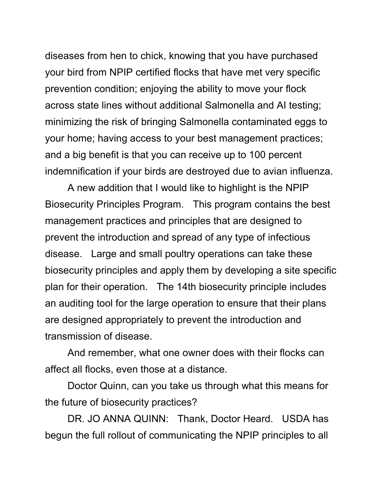diseases from hen to chick, knowing that you have purchased your bird from NPIP certified flocks that have met very specific prevention condition; enjoying the ability to move your flock across state lines without additional Salmonella and AI testing; minimizing the risk of bringing Salmonella contaminated eggs to your home; having access to your best management practices; and a big benefit is that you can receive up to 100 percent indemnification if your birds are destroyed due to avian influenza.

A new addition that I would like to highlight is the NPIP Biosecurity Principles Program. This program contains the best management practices and principles that are designed to prevent the introduction and spread of any type of infectious disease. Large and small poultry operations can take these biosecurity principles and apply them by developing a site specific plan for their operation. The 14th biosecurity principle includes an auditing tool for the large operation to ensure that their plans are designed appropriately to prevent the introduction and transmission of disease.

And remember, what one owner does with their flocks can affect all flocks, even those at a distance.

Doctor Quinn, can you take us through what this means for the future of biosecurity practices?

DR. JO ANNA QUINN: Thank, Doctor Heard. USDA has begun the full rollout of communicating the NPIP principles to all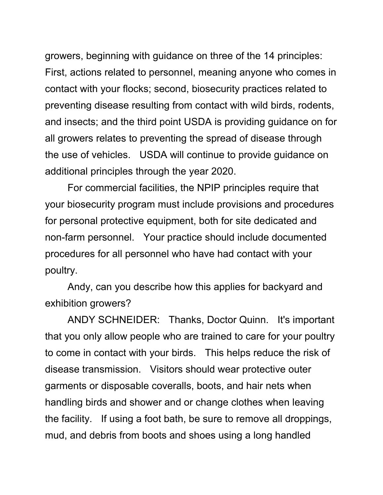growers, beginning with guidance on three of the 14 principles: First, actions related to personnel, meaning anyone who comes in contact with your flocks; second, biosecurity practices related to preventing disease resulting from contact with wild birds, rodents, and insects; and the third point USDA is providing guidance on for all growers relates to preventing the spread of disease through the use of vehicles. USDA will continue to provide guidance on additional principles through the year 2020.

For commercial facilities, the NPIP principles require that your biosecurity program must include provisions and procedures for personal protective equipment, both for site dedicated and non-farm personnel. Your practice should include documented procedures for all personnel who have had contact with your poultry.

Andy, can you describe how this applies for backyard and exhibition growers?

ANDY SCHNEIDER: Thanks, Doctor Quinn. It's important that you only allow people who are trained to care for your poultry to come in contact with your birds. This helps reduce the risk of disease transmission. Visitors should wear protective outer garments or disposable coveralls, boots, and hair nets when handling birds and shower and or change clothes when leaving the facility. If using a foot bath, be sure to remove all droppings, mud, and debris from boots and shoes using a long handled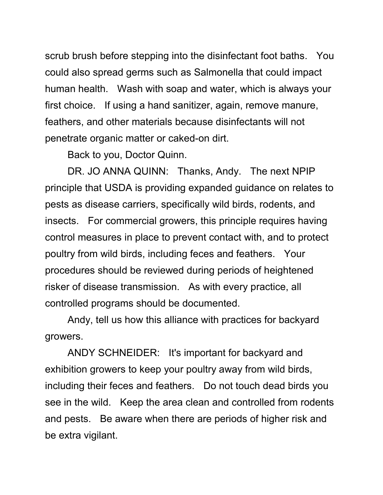scrub brush before stepping into the disinfectant foot baths. You could also spread germs such as Salmonella that could impact human health. Wash with soap and water, which is always your first choice. If using a hand sanitizer, again, remove manure, feathers, and other materials because disinfectants will not penetrate organic matter or caked-on dirt.

Back to you, Doctor Quinn.

DR. JO ANNA QUINN: Thanks, Andy. The next NPIP principle that USDA is providing expanded guidance on relates to pests as disease carriers, specifically wild birds, rodents, and insects. For commercial growers, this principle requires having control measures in place to prevent contact with, and to protect poultry from wild birds, including feces and feathers. Your procedures should be reviewed during periods of heightened risker of disease transmission. As with every practice, all controlled programs should be documented.

Andy, tell us how this alliance with practices for backyard growers.

ANDY SCHNEIDER: It's important for backyard and exhibition growers to keep your poultry away from wild birds, including their feces and feathers. Do not touch dead birds you see in the wild. Keep the area clean and controlled from rodents and pests. Be aware when there are periods of higher risk and be extra vigilant.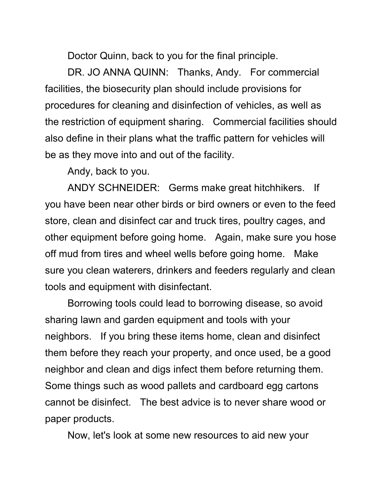Doctor Quinn, back to you for the final principle.

DR. JO ANNA QUINN: Thanks, Andy. For commercial facilities, the biosecurity plan should include provisions for procedures for cleaning and disinfection of vehicles, as well as the restriction of equipment sharing. Commercial facilities should also define in their plans what the traffic pattern for vehicles will be as they move into and out of the facility.

Andy, back to you.

ANDY SCHNEIDER: Germs make great hitchhikers. If you have been near other birds or bird owners or even to the feed store, clean and disinfect car and truck tires, poultry cages, and other equipment before going home. Again, make sure you hose off mud from tires and wheel wells before going home. Make sure you clean waterers, drinkers and feeders regularly and clean tools and equipment with disinfectant.

Borrowing tools could lead to borrowing disease, so avoid sharing lawn and garden equipment and tools with your neighbors. If you bring these items home, clean and disinfect them before they reach your property, and once used, be a good neighbor and clean and digs infect them before returning them. Some things such as wood pallets and cardboard egg cartons cannot be disinfect. The best advice is to never share wood or paper products.

Now, let's look at some new resources to aid new your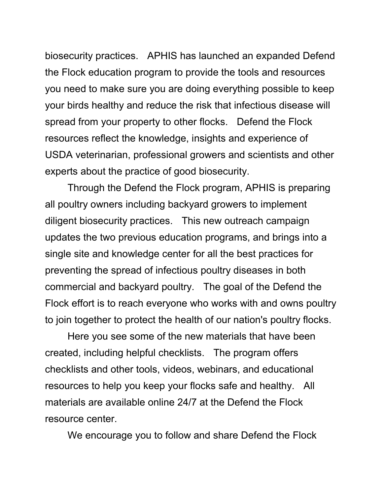biosecurity practices. APHIS has launched an expanded Defend the Flock education program to provide the tools and resources you need to make sure you are doing everything possible to keep your birds healthy and reduce the risk that infectious disease will spread from your property to other flocks. Defend the Flock resources reflect the knowledge, insights and experience of USDA veterinarian, professional growers and scientists and other experts about the practice of good biosecurity.

Through the Defend the Flock program, APHIS is preparing all poultry owners including backyard growers to implement diligent biosecurity practices. This new outreach campaign updates the two previous education programs, and brings into a single site and knowledge center for all the best practices for preventing the spread of infectious poultry diseases in both commercial and backyard poultry. The goal of the Defend the Flock effort is to reach everyone who works with and owns poultry to join together to protect the health of our nation's poultry flocks.

Here you see some of the new materials that have been created, including helpful checklists. The program offers checklists and other tools, videos, webinars, and educational resources to help you keep your flocks safe and healthy. All materials are available online 24/7 at the Defend the Flock resource center.

We encourage you to follow and share Defend the Flock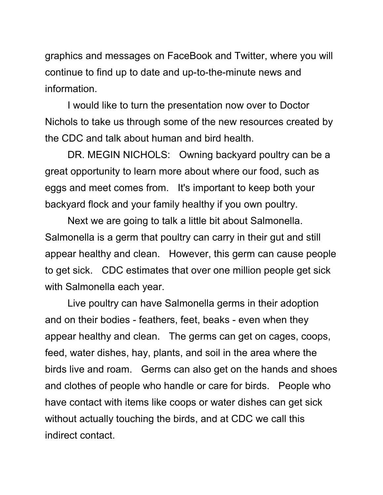graphics and messages on FaceBook and Twitter, where you will continue to find up to date and up-to-the-minute news and information.

I would like to turn the presentation now over to Doctor Nichols to take us through some of the new resources created by the CDC and talk about human and bird health.

DR. MEGIN NICHOLS: Owning backyard poultry can be a great opportunity to learn more about where our food, such as eggs and meet comes from. It's important to keep both your backyard flock and your family healthy if you own poultry.

Next we are going to talk a little bit about Salmonella. Salmonella is a germ that poultry can carry in their gut and still appear healthy and clean. However, this germ can cause people to get sick. CDC estimates that over one million people get sick with Salmonella each year.

Live poultry can have Salmonella germs in their adoption and on their bodies - feathers, feet, beaks - even when they appear healthy and clean. The germs can get on cages, coops, feed, water dishes, hay, plants, and soil in the area where the birds live and roam. Germs can also get on the hands and shoes and clothes of people who handle or care for birds. People who have contact with items like coops or water dishes can get sick without actually touching the birds, and at CDC we call this indirect contact.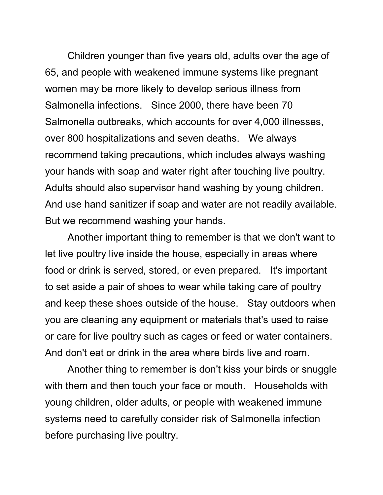Children younger than five years old, adults over the age of 65, and people with weakened immune systems like pregnant women may be more likely to develop serious illness from Salmonella infections. Since 2000, there have been 70 Salmonella outbreaks, which accounts for over 4,000 illnesses, over 800 hospitalizations and seven deaths. We always recommend taking precautions, which includes always washing your hands with soap and water right after touching live poultry. Adults should also supervisor hand washing by young children. And use hand sanitizer if soap and water are not readily available. But we recommend washing your hands.

Another important thing to remember is that we don't want to let live poultry live inside the house, especially in areas where food or drink is served, stored, or even prepared. It's important to set aside a pair of shoes to wear while taking care of poultry and keep these shoes outside of the house. Stay outdoors when you are cleaning any equipment or materials that's used to raise or care for live poultry such as cages or feed or water containers. And don't eat or drink in the area where birds live and roam.

Another thing to remember is don't kiss your birds or snuggle with them and then touch your face or mouth. Households with young children, older adults, or people with weakened immune systems need to carefully consider risk of Salmonella infection before purchasing live poultry.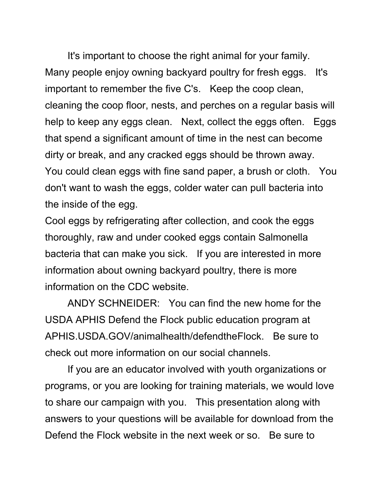It's important to choose the right animal for your family. Many people enjoy owning backyard poultry for fresh eggs. It's important to remember the five C's. Keep the coop clean, cleaning the coop floor, nests, and perches on a regular basis will help to keep any eggs clean. Next, collect the eggs often. Eggs that spend a significant amount of time in the nest can become dirty or break, and any cracked eggs should be thrown away. You could clean eggs with fine sand paper, a brush or cloth. You don't want to wash the eggs, colder water can pull bacteria into the inside of the egg.

Cool eggs by refrigerating after collection, and cook the eggs thoroughly, raw and under cooked eggs contain Salmonella bacteria that can make you sick. If you are interested in more information about owning backyard poultry, there is more information on the CDC website.

ANDY SCHNEIDER: You can find the new home for the USDA APHIS Defend the Flock public education program at APHIS.USDA.GOV/animalhealth/defendtheFlock. Be sure to check out more information on our social channels.

If you are an educator involved with youth organizations or programs, or you are looking for training materials, we would love to share our campaign with you. This presentation along with answers to your questions will be available for download from the Defend the Flock website in the next week or so. Be sure to